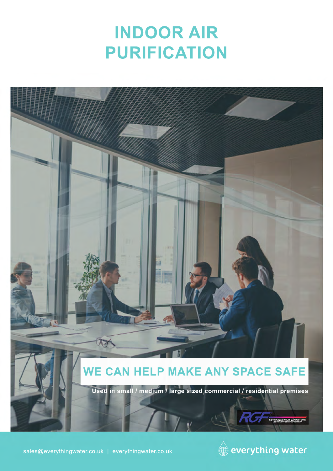# **INDOOR AIR PURIFICATION**



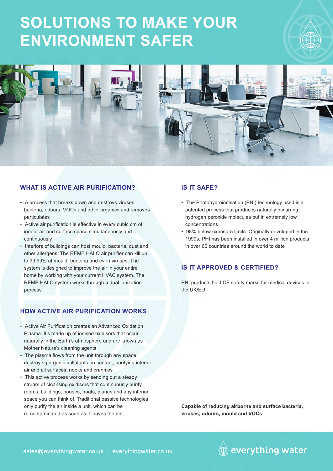## **SOLUTIONS TO MAKE YOUR ENVIRONMENT SAFER**





### **WHAT IS ACTIVE AIR PURIFICATION?**

- A process that breaks down and destroys viruses, bacteria, odours, VOCs and other organics and removes particulates
- Active air purification is effective in every cubic cm of indoor air and surface space simultaneously and continuously
- Interiors of buildings can host mould, bacteria, dust and other allergens. The REME HALO air purifier can kill up to 99.99% of mould, bacteria and even viruses. The system is designed to improve the air in your entire home by working with your current HVAC system. The REME HALO system works through a dual ionization process

### **HOW ACTIVE AIR PURIFICATION WORKS**

- Active Air Purification creates an Advanced Oxidation Plasma. It's made up of ionised oxidisers that occur naturally in the Earth's atmosphere and are known as Mother Nature's cleaning agents
- The plasma flows from the unit through any space, destroying organic pollutants on contact, purifying interior air and all surfaces, nooks and crannies
- This active process works by sending out a steady stream of cleansing oxidisers that continuously purify rooms, buildings, houses, boats, planes and any interior space you can think of. Traditional passive technologies only purify the air inside a unit, which can be re-contaminated as soon as it leaves the unit

### **IS IT SAFE?**

- The Photohydroionisation (PHI) technology used is a patented process that produces naturally occurring hydrogen peroxide molecules but in extremely low concentrations
- 98% below exposure limits. Originally developed in the 1990s, PHI has been installed in over 4 million products in over 60 countries around the world to date

#### **IS IT APPROVED & CERTIFIED?**

PHI products hold CE safety marks for medical devices in the UK/EU

**Capable of reducing airborne and surface bacteria, viruses, odours, mould and VOCs**

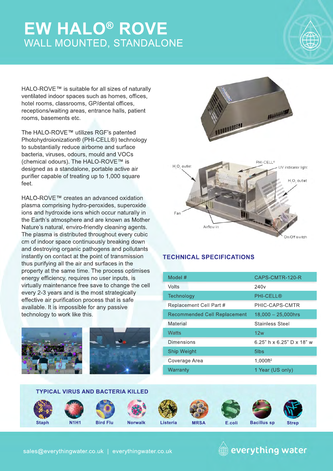### **EW HALO® ROVE** WALL MOUNTED, STANDALONE



HALO-ROVE™ is suitable for all sizes of naturally ventilated indoor spaces such as homes, offices, hotel rooms, classrooms, GP/dental offices, receptions/waiting areas, entrance halls, patient rooms, basements etc.

The HALO-ROVE™ utilizes RGF's patented Photohydroionization® (PHI-CELL®) technology to substantially reduce airborne and surface bacteria, viruses, odours, mould and VOCs (chemical odours). The HALO-ROVE™ is designed as a standalone, portable active air purifier capable of treating up to 1,000 square feet.

HALO-ROVE™ creates an advanced oxidation plasma comprising hydro-peroxides, superoxide ions and hydroxide ions which occur naturally in the Earth's atmosphere and are known as Mother Nature's natural, enviro-friendly cleaning agents. The plasma is distributed throughout every cubic cm of indoor space continuously breaking down and destroying organic pathogens and pollutants instantly on contact at the point of transmission thus purifying all the air and surfaces in the property at the same time. The process optimises energy efficiency, requires no user inputs, is virtually maintenance free save to change the cell every 2-3 years and is the most strategically effective air purification process that is safe available. It is impossible for any passive technology to work like this.





### **TECHNICAL SPECIFICATIONS**

| Model #                             | CAPS-CMTR-120-R                         |
|-------------------------------------|-----------------------------------------|
| Volts                               | 240 <sub>v</sub>                        |
| Technology                          | <b>PHI-CELL®</b>                        |
| Replacement Cell Part #             | PHIC-CAPS-CMTR                          |
| <b>Recommended Cell Replacement</b> | $18,000 - 25,000$ hrs                   |
| Material                            | <b>Stainless Steel</b>                  |
| Watts                               | 12w                                     |
| Dimensions                          | 6.25" h $\times$ 6.25" D $\times$ 18" w |
| Ship Weight                         | 5 <sub>lbs</sub>                        |
| Coverage Area                       | 1.000ft <sup>2</sup>                    |
| Warranty                            | 1 Year (US only)                        |

#### **TYPICAL VIRUS AND BACTERIA KILLED**

















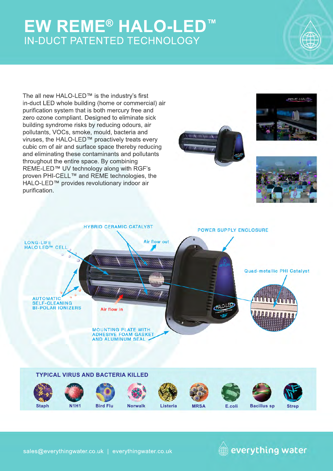### **EW REME® HALO-LED™** IN-DUCT PATENTED TECHNOLOGY



The all new HALO-LED™ is the industry's first in-duct LED whole building (home or commercial) air purification system that is both mercury free and zero ozone compliant. Designed to eliminate sick building syndrome risks by reducing odours, air pollutants, VOCs, smoke, mould, bacteria and viruses, the HALO-LED™ proactively treats every cubic cm of air and surface space thereby reducing and eliminating these contaminants and pollutants throughout the entire space. By combining REME-LED™ UV technology along with RGF's proven PHI-CELL™ and REME technologies, the HALO-LED™ provides revolutionary indoor air purification.









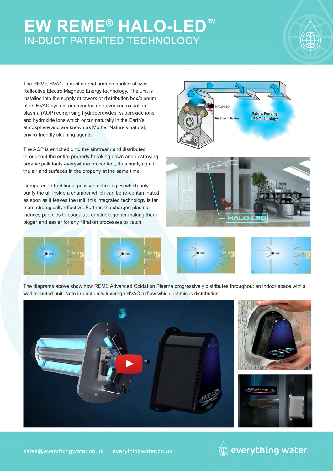### **EW REME® HALO-LED™** IN-DUCT PATENTED TECHNOLOGY



The REME HVAC in-duct air and surface purifier utilizes Reflective Electro Magnetic Energy technology. The unit is installed into the supply ductwork or distribution box/plenum of an HVAC system and creates an advanced oxidation plasma (AOP) comprising hydroperoxides, superoxide ions and hydroxide ions which occur naturally in the Earth's atmosphere and are known as Mother Nature's natural, enviro-friendly cleaning agents.

The AOP is enriched onto the airstream and distributed throughout the entire property breaking down and destroying organic pollutants everywhere on contact, thus purifying all the air and surfaces in the property at the same time.

Compared to traditional passive technologies which only purify the air inside a chamber which can be re-contaminated as soon as it leaves the unit, this integrated technology is far more strategically effective. Further, the charged plasma induces particles to coagulate or stick together making them bigger and easier for any filtration processes to catch.







The diagrams above show how REME Advanced Oxidation Plasma progressively distributes throughout an indoor space with a wall mounted unit. Note in-duct units leverage HVAC airflow which optimises distribution.







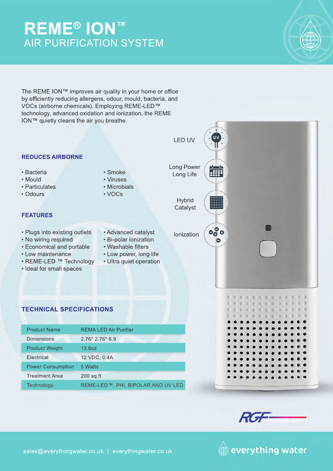### **REME® ION™** AIR PURIFICATION SYSTEM

The REME ION™ improves air quality in your home or office by efficiently reducing allergens, odour, mould, bacteria, and VOCs (airborne chemicals). Employing REME-LED™ technology, advanced oxidation and ionization, the REME ION™ quietly cleans the air you breathe.

LED UV **REDUCES AIRBORNE** Long Power **HII** • Bacteria • Smoke Long Life • Mould • Viruses • Particulates • Microbials • Odours • VOCs **Hybrid** ▒ Catalyst **FEATURES** ೄೊ • Plugs into existing outlets • Advanced catalyst lonization • Advanced catalyst • No wiring required • Bi-polar ionization • Economical and portable • Washable filters • Low power, long life • Low maintenance • REME-LED ™ Technology • Ultra quiet operation • Ideal for small spaces **TECHNICAL SPECIFICATIONS**Product Name REMA LED Air Purifier 2.76\* 2.76\* 6.9 Dimensions Product Weight 13.6oz **Electrical** 12 VDC, 0.4A Power Consumption 5 Watts Treatment Area 200 sq.ft **Technology** REME-LED™, PHI, BIPOLAR AND UV LED